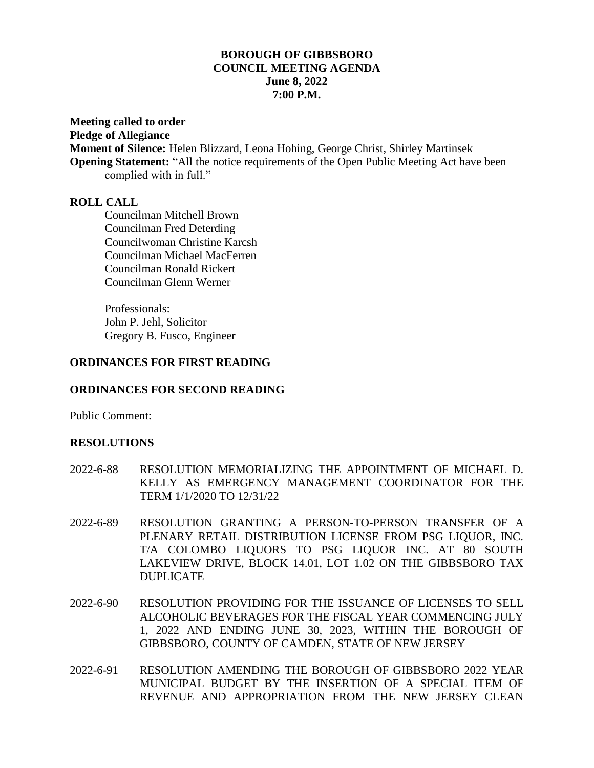## **BOROUGH OF GIBBSBORO COUNCIL MEETING AGENDA June 8, 2022 7:00 P.M.**

**Meeting called to order**

**Pledge of Allegiance**

**Moment of Silence:** Helen Blizzard, Leona Hohing, George Christ, Shirley Martinsek **Opening Statement:** "All the notice requirements of the Open Public Meeting Act have been complied with in full."

## **ROLL CALL**

Councilman Mitchell Brown Councilman Fred Deterding Councilwoman Christine Karcsh Councilman Michael MacFerren Councilman Ronald Rickert Councilman Glenn Werner

Professionals: John P. Jehl, Solicitor Gregory B. Fusco, Engineer

## **ORDINANCES FOR FIRST READING**

## **ORDINANCES FOR SECOND READING**

Public Comment:

# **RESOLUTIONS**

- 2022-6-88 RESOLUTION MEMORIALIZING THE APPOINTMENT OF MICHAEL D. KELLY AS EMERGENCY MANAGEMENT COORDINATOR FOR THE TERM 1/1/2020 TO 12/31/22
- 2022-6-89 RESOLUTION GRANTING A PERSON-TO-PERSON TRANSFER OF A PLENARY RETAIL DISTRIBUTION LICENSE FROM PSG LIQUOR, INC. T/A COLOMBO LIQUORS TO PSG LIQUOR INC. AT 80 SOUTH LAKEVIEW DRIVE, BLOCK 14.01, LOT 1.02 ON THE GIBBSBORO TAX DUPLICATE
- 2022-6-90 RESOLUTION PROVIDING FOR THE ISSUANCE OF LICENSES TO SELL ALCOHOLIC BEVERAGES FOR THE FISCAL YEAR COMMENCING JULY 1, 2022 AND ENDING JUNE 30, 2023, WITHIN THE BOROUGH OF GIBBSBORO, COUNTY OF CAMDEN, STATE OF NEW JERSEY
- 2022-6-91 RESOLUTION AMENDING THE BOROUGH OF GIBBSBORO 2022 YEAR MUNICIPAL BUDGET BY THE INSERTION OF A SPECIAL ITEM OF REVENUE AND APPROPRIATION FROM THE NEW JERSEY CLEAN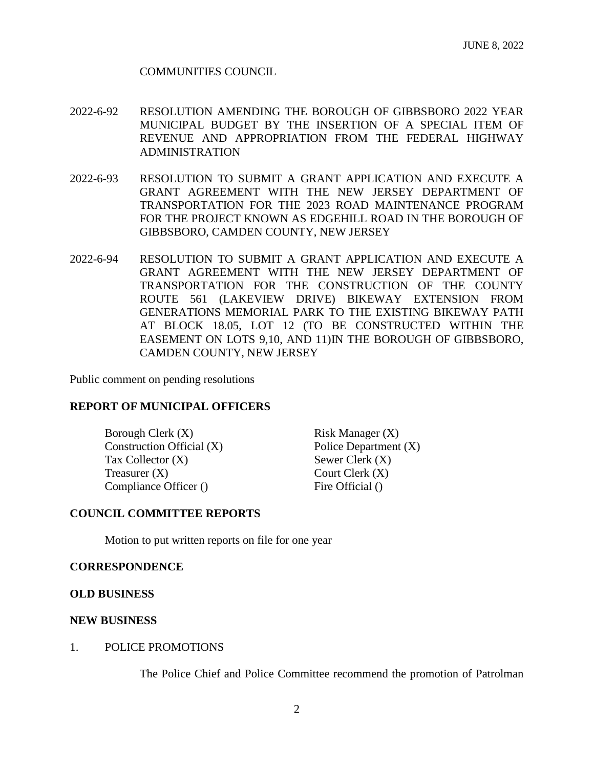### COMMUNITIES COUNCIL

- 2022-6-92 RESOLUTION AMENDING THE BOROUGH OF GIBBSBORO 2022 YEAR MUNICIPAL BUDGET BY THE INSERTION OF A SPECIAL ITEM OF REVENUE AND APPROPRIATION FROM THE FEDERAL HIGHWAY ADMINISTRATION
- 2022-6-93 RESOLUTION TO SUBMIT A GRANT APPLICATION AND EXECUTE A GRANT AGREEMENT WITH THE NEW JERSEY DEPARTMENT OF TRANSPORTATION FOR THE 2023 ROAD MAINTENANCE PROGRAM FOR THE PROJECT KNOWN AS EDGEHILL ROAD IN THE BOROUGH OF GIBBSBORO, CAMDEN COUNTY, NEW JERSEY
- 2022-6-94 RESOLUTION TO SUBMIT A GRANT APPLICATION AND EXECUTE A GRANT AGREEMENT WITH THE NEW JERSEY DEPARTMENT OF TRANSPORTATION FOR THE CONSTRUCTION OF THE COUNTY ROUTE 561 (LAKEVIEW DRIVE) BIKEWAY EXTENSION FROM GENERATIONS MEMORIAL PARK TO THE EXISTING BIKEWAY PATH AT BLOCK 18.05, LOT 12 (TO BE CONSTRUCTED WITHIN THE EASEMENT ON LOTS 9,10, AND 11)IN THE BOROUGH OF GIBBSBORO, CAMDEN COUNTY, NEW JERSEY

Public comment on pending resolutions

### **REPORT OF MUNICIPAL OFFICERS**

Borough Clerk (X) Risk Manager (X) Construction Official (X) Police Department (X)  $\text{Tax Collection (X)}$  Sewer Clerk  $(X)$  $T$ reasurer  $(X)$  Court Clerk  $(X)$ Compliance Officer () Fire Official ()

### **COUNCIL COMMITTEE REPORTS**

Motion to put written reports on file for one year

### **CORRESPONDENCE**

#### **OLD BUSINESS**

#### **NEW BUSINESS**

#### 1. POLICE PROMOTIONS

The Police Chief and Police Committee recommend the promotion of Patrolman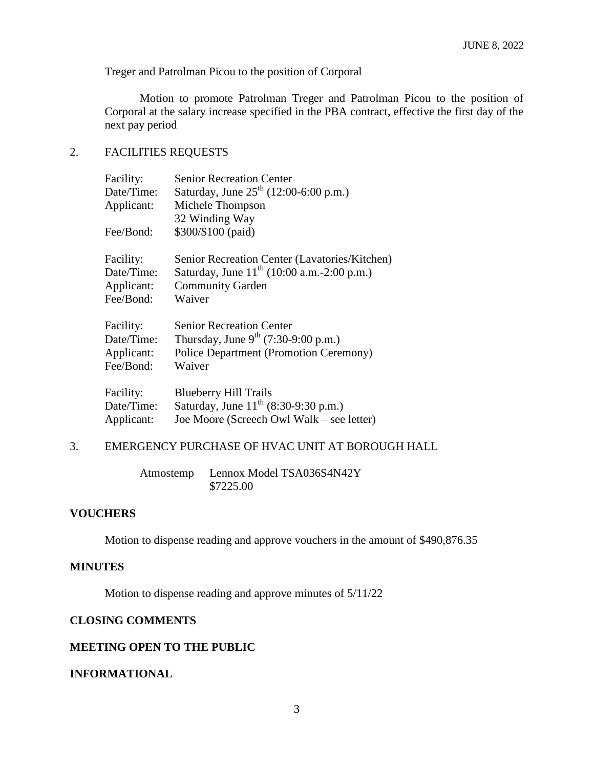Treger and Patrolman Picou to the position of Corporal

Motion to promote Patrolman Treger and Patrolman Picou to the position of Corporal at the salary increase specified in the PBA contract, effective the first day of the next pay period

## 2. FACILITIES REQUESTS

| Facility:  | <b>Senior Recreation Center</b>                 |
|------------|-------------------------------------------------|
| Date/Time: | Saturday, June $25^{th}$ (12:00-6:00 p.m.)      |
| Applicant: | Michele Thompson                                |
|            | 32 Winding Way                                  |
| Fee/Bond:  | \$300/\$100 (paid)                              |
| Facility:  | Senior Recreation Center (Lavatories/Kitchen)   |
| Date/Time: | Saturday, June $11^{th}$ (10:00 a.m.-2:00 p.m.) |
| Applicant: | <b>Community Garden</b>                         |
| Fee/Bond:  | Waiver                                          |
| Facility:  | <b>Senior Recreation Center</b>                 |
| Date/Time: | Thursday, June $9^{th}$ (7:30-9:00 p.m.)        |
| Applicant: | <b>Police Department (Promotion Ceremony)</b>   |
| Fee/Bond:  | Waiver                                          |
| Facility:  | <b>Blueberry Hill Trails</b>                    |
| Date/Time: | Saturday, June $11^{th}$ (8:30-9:30 p.m.)       |
| Applicant: | Joe Moore (Screech Owl Walk – see letter)       |

## 3. EMERGENCY PURCHASE OF HVAC UNIT AT BOROUGH HALL

Atmostemp Lennox Model TSA036S4N42Y \$7225.00

### **VOUCHERS**

Motion to dispense reading and approve vouchers in the amount of \$490,876.35

### **MINUTES**

Motion to dispense reading and approve minutes of 5/11/22

## **CLOSING COMMENTS**

## **MEETING OPEN TO THE PUBLIC**

### **INFORMATIONAL**